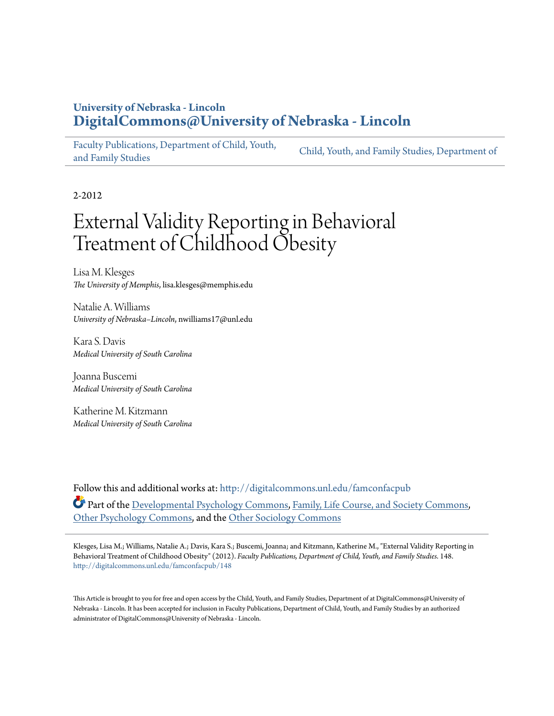## **University of Nebraska - Lincoln [DigitalCommons@University of Nebraska - Lincoln](http://digitalcommons.unl.edu?utm_source=digitalcommons.unl.edu%2Ffamconfacpub%2F148&utm_medium=PDF&utm_campaign=PDFCoverPages)**

[Faculty Publications, Department of Child, Youth,](http://digitalcommons.unl.edu/famconfacpub?utm_source=digitalcommons.unl.edu%2Ffamconfacpub%2F148&utm_medium=PDF&utm_campaign=PDFCoverPages) [and Family Studies](http://digitalcommons.unl.edu/famconfacpub?utm_source=digitalcommons.unl.edu%2Ffamconfacpub%2F148&utm_medium=PDF&utm_campaign=PDFCoverPages)

[Child, Youth, and Family Studies, Department of](http://digitalcommons.unl.edu/family_consumer_sci?utm_source=digitalcommons.unl.edu%2Ffamconfacpub%2F148&utm_medium=PDF&utm_campaign=PDFCoverPages)

2-2012

# External Validity Reporting in Behavioral Treatment of Childhood Obesity

Lisa M. Klesges *The University of Memphis*, lisa.klesges@memphis.edu

Natalie A. Williams *University of Nebraska–Lincoln*, nwilliams17@unl.edu

Kara S. Davis *Medical University of South Carolina*

Joanna Buscemi *Medical University of South Carolina*

Katherine M. Kitzmann *Medical University of South Carolina*

Follow this and additional works at: [http://digitalcommons.unl.edu/famconfacpub](http://digitalcommons.unl.edu/famconfacpub?utm_source=digitalcommons.unl.edu%2Ffamconfacpub%2F148&utm_medium=PDF&utm_campaign=PDFCoverPages) Part of the [Developmental Psychology Commons,](http://network.bepress.com/hgg/discipline/410?utm_source=digitalcommons.unl.edu%2Ffamconfacpub%2F148&utm_medium=PDF&utm_campaign=PDFCoverPages) [Family, Life Course, and Society Commons,](http://network.bepress.com/hgg/discipline/419?utm_source=digitalcommons.unl.edu%2Ffamconfacpub%2F148&utm_medium=PDF&utm_campaign=PDFCoverPages) [Other Psychology Commons](http://network.bepress.com/hgg/discipline/415?utm_source=digitalcommons.unl.edu%2Ffamconfacpub%2F148&utm_medium=PDF&utm_campaign=PDFCoverPages), and the [Other Sociology Commons](http://network.bepress.com/hgg/discipline/434?utm_source=digitalcommons.unl.edu%2Ffamconfacpub%2F148&utm_medium=PDF&utm_campaign=PDFCoverPages)

Klesges, Lisa M.; Williams, Natalie A.; Davis, Kara S.; Buscemi, Joanna; and Kitzmann, Katherine M., "External Validity Reporting in Behavioral Treatment of Childhood Obesity" (2012). *Faculty Publications, Department of Child, Youth, and Family Studies*. 148. [http://digitalcommons.unl.edu/famconfacpub/148](http://digitalcommons.unl.edu/famconfacpub/148?utm_source=digitalcommons.unl.edu%2Ffamconfacpub%2F148&utm_medium=PDF&utm_campaign=PDFCoverPages)

This Article is brought to you for free and open access by the Child, Youth, and Family Studies, Department of at DigitalCommons@University of Nebraska - Lincoln. It has been accepted for inclusion in Faculty Publications, Department of Child, Youth, and Family Studies by an authorized administrator of DigitalCommons@University of Nebraska - Lincoln.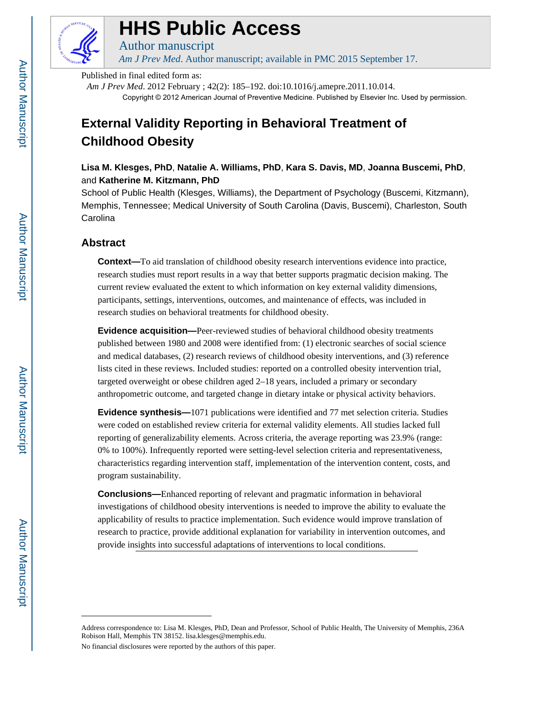

## **HHS Public Access**

*Am J Prev Med*. Author manuscript; available in PMC 2015 September 17.

Published in final edited form as:

Author manuscript

*Am J Prev Med*. 2012 February ; 42(2): 185–192. doi:10.1016/j.amepre.2011.10.014. Copyright © 2012 American Journal of Preventive Medicine. Published by Elsevier Inc. Used by permission.

## **External Validity Reporting in Behavioral Treatment of Childhood Obesity**

**Lisa M. Klesges, PhD**, **Natalie A. Williams, PhD**, **Kara S. Davis, MD**, **Joanna Buscemi, PhD**, and **Katherine M. Kitzmann, PhD**

School of Public Health (Klesges, Williams), the Department of Psychology (Buscemi, Kitzmann), Memphis, Tennessee; Medical University of South Carolina (Davis, Buscemi), Charleston, South **Carolina** 

### **Abstract**

**Context—**To aid translation of childhood obesity research interventions evidence into practice, research studies must report results in a way that better supports pragmatic decision making. The current review evaluated the extent to which information on key external validity dimensions, participants, settings, interventions, outcomes, and maintenance of effects, was included in research studies on behavioral treatments for childhood obesity.

**Evidence acquisition—**Peer-reviewed studies of behavioral childhood obesity treatments published between 1980 and 2008 were identified from: (1) electronic searches of social science and medical databases, (2) research reviews of childhood obesity interventions, and (3) reference lists cited in these reviews. Included studies: reported on a controlled obesity intervention trial, targeted overweight or obese children aged 2–18 years, included a primary or secondary anthropometric outcome, and targeted change in dietary intake or physical activity behaviors.

**Evidence synthesis—**1071 publications were identified and 77 met selection criteria. Studies were coded on established review criteria for external validity elements. All studies lacked full reporting of generalizability elements. Across criteria, the average reporting was 23.9% (range: 0% to 100%). Infrequently reported were setting-level selection criteria and representativeness, characteristics regarding intervention staff, implementation of the intervention content, costs, and program sustainability.

**Conclusions—**Enhanced reporting of relevant and pragmatic information in behavioral investigations of childhood obesity interventions is needed to improve the ability to evaluate the applicability of results to practice implementation. Such evidence would improve translation of research to practice, provide additional explanation for variability in intervention outcomes, and provide insights into successful adaptations of interventions to local conditions.

Address correspondence to: Lisa M. Klesges, PhD, Dean and Professor, School of Public Health, The University of Memphis, 236A Robison Hall, Memphis TN 38152. lisa.klesges@memphis.edu.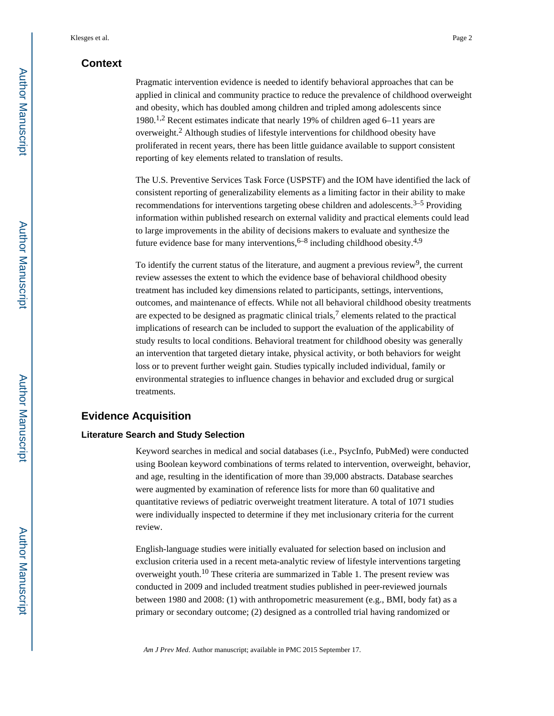### **Context**

Pragmatic intervention evidence is needed to identify behavioral approaches that can be applied in clinical and community practice to reduce the prevalence of childhood overweight and obesity, which has doubled among children and tripled among adolescents since 1980.<sup>1,2</sup> Recent estimates indicate that nearly 19% of children aged 6–11 years are overweight.<sup>2</sup> Although studies of lifestyle interventions for childhood obesity have proliferated in recent years, there has been little guidance available to support consistent reporting of key elements related to translation of results.

The U.S. Preventive Services Task Force (USPSTF) and the IOM have identified the lack of consistent reporting of generalizability elements as a limiting factor in their ability to make recommendations for interventions targeting obese children and adolescents.<sup>3–5</sup> Providing information within published research on external validity and practical elements could lead to large improvements in the ability of decisions makers to evaluate and synthesize the future evidence base for many interventions,  $6-8$  including childhood obesity.<sup>4,9</sup>

To identify the current status of the literature, and augment a previous review<sup>9</sup>, the current review assesses the extent to which the evidence base of behavioral childhood obesity treatment has included key dimensions related to participants, settings, interventions, outcomes, and maintenance of effects. While not all behavioral childhood obesity treatments are expected to be designed as pragmatic clinical trials,<sup>7</sup> elements related to the practical implications of research can be included to support the evaluation of the applicability of study results to local conditions. Behavioral treatment for childhood obesity was generally an intervention that targeted dietary intake, physical activity, or both behaviors for weight loss or to prevent further weight gain. Studies typically included individual, family or environmental strategies to influence changes in behavior and excluded drug or surgical treatments.

#### **Evidence Acquisition**

#### **Literature Search and Study Selection**

Keyword searches in medical and social databases (i.e., PsycInfo, PubMed) were conducted using Boolean keyword combinations of terms related to intervention, overweight, behavior, and age, resulting in the identification of more than 39,000 abstracts. Database searches were augmented by examination of reference lists for more than 60 qualitative and quantitative reviews of pediatric overweight treatment literature. A total of 1071 studies were individually inspected to determine if they met inclusionary criteria for the current review.

English-language studies were initially evaluated for selection based on inclusion and exclusion criteria used in a recent meta-analytic review of lifestyle interventions targeting overweight youth.10 These criteria are summarized in Table 1. The present review was conducted in 2009 and included treatment studies published in peer-reviewed journals between 1980 and 2008: (1) with anthropometric measurement (e.g., BMI, body fat) as a primary or secondary outcome; (2) designed as a controlled trial having randomized or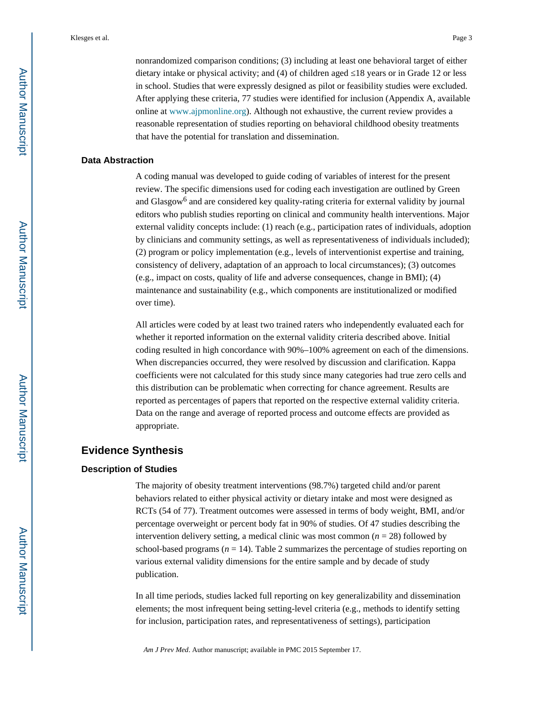nonrandomized comparison conditions; (3) including at least one behavioral target of either dietary intake or physical activity; and (4) of children aged 18 years or in Grade 12 or less in school. Studies that were expressly designed as pilot or feasibility studies were excluded. After applying these criteria, 77 studies were identified for inclusion (Appendix A, available online at [www.ajpmonline.org](http://www.ajpmonline.org)). Although not exhaustive, the current review provides a reasonable representation of studies reporting on behavioral childhood obesity treatments that have the potential for translation and dissemination.

#### **Data Abstraction**

A coding manual was developed to guide coding of variables of interest for the present review. The specific dimensions used for coding each investigation are outlined by Green and Glasgow<sup>6</sup> and are considered key quality-rating criteria for external validity by journal editors who publish studies reporting on clinical and community health interventions. Major external validity concepts include: (1) reach (e.g., participation rates of individuals, adoption by clinicians and community settings, as well as representativeness of individuals included); (2) program or policy implementation (e.g., levels of interventionist expertise and training, consistency of delivery, adaptation of an approach to local circumstances); (3) outcomes (e.g., impact on costs, quality of life and adverse consequences, change in BMI); (4) maintenance and sustainability (e.g., which components are institutionalized or modified over time).

All articles were coded by at least two trained raters who independently evaluated each for whether it reported information on the external validity criteria described above. Initial coding resulted in high concordance with 90%–100% agreement on each of the dimensions. When discrepancies occurred, they were resolved by discussion and clarification. Kappa coefficients were not calculated for this study since many categories had true zero cells and this distribution can be problematic when correcting for chance agreement. Results are reported as percentages of papers that reported on the respective external validity criteria. Data on the range and average of reported process and outcome effects are provided as appropriate.

#### **Evidence Synthesis**

#### **Description of Studies**

The majority of obesity treatment interventions (98.7%) targeted child and/or parent behaviors related to either physical activity or dietary intake and most were designed as RCTs (54 of 77). Treatment outcomes were assessed in terms of body weight, BMI, and/or percentage overweight or percent body fat in 90% of studies. Of 47 studies describing the intervention delivery setting, a medical clinic was most common  $(n = 28)$  followed by school-based programs  $(n = 14)$ . Table 2 summarizes the percentage of studies reporting on various external validity dimensions for the entire sample and by decade of study publication.

In all time periods, studies lacked full reporting on key generalizability and dissemination elements; the most infrequent being setting-level criteria (e.g., methods to identify setting for inclusion, participation rates, and representativeness of settings), participation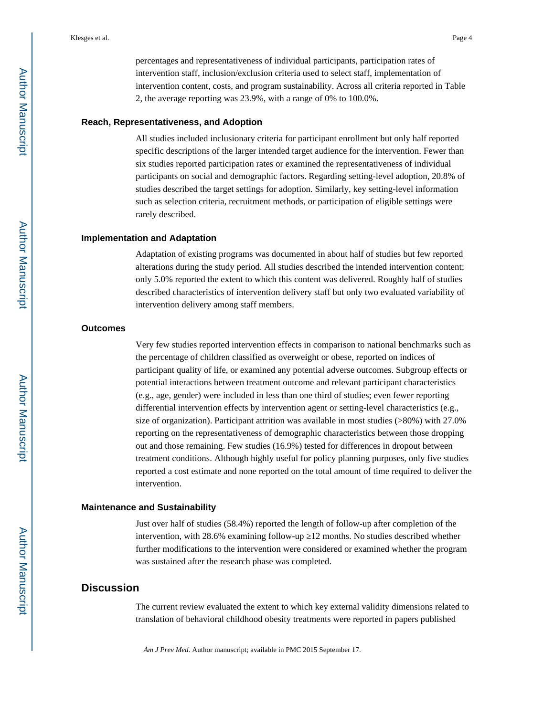percentages and representativeness of individual participants, participation rates of intervention staff, inclusion/exclusion criteria used to select staff, implementation of intervention content, costs, and program sustainability. Across all criteria reported in Table 2, the average reporting was 23.9%, with a range of 0% to 100.0%.

#### **Reach, Representativeness, and Adoption**

All studies included inclusionary criteria for participant enrollment but only half reported specific descriptions of the larger intended target audience for the intervention. Fewer than six studies reported participation rates or examined the representativeness of individual participants on social and demographic factors. Regarding setting-level adoption, 20.8% of studies described the target settings for adoption. Similarly, key setting-level information such as selection criteria, recruitment methods, or participation of eligible settings were rarely described.

#### **Implementation and Adaptation**

Adaptation of existing programs was documented in about half of studies but few reported alterations during the study period. All studies described the intended intervention content; only 5.0% reported the extent to which this content was delivered. Roughly half of studies described characteristics of intervention delivery staff but only two evaluated variability of intervention delivery among staff members.

#### **Outcomes**

Very few studies reported intervention effects in comparison to national benchmarks such as the percentage of children classified as overweight or obese, reported on indices of participant quality of life, or examined any potential adverse outcomes. Subgroup effects or potential interactions between treatment outcome and relevant participant characteristics (e.g., age, gender) were included in less than one third of studies; even fewer reporting differential intervention effects by intervention agent or setting-level characteristics (e.g., size of organization). Participant attrition was available in most studies (>80%) with 27.0% reporting on the representativeness of demographic characteristics between those dropping out and those remaining. Few studies (16.9%) tested for differences in dropout between treatment conditions. Although highly useful for policy planning purposes, only five studies reported a cost estimate and none reported on the total amount of time required to deliver the intervention.

#### **Maintenance and Sustainability**

Just over half of studies (58.4%) reported the length of follow-up after completion of the intervention, with 28.6% examining follow-up 12 months. No studies described whether further modifications to the intervention were considered or examined whether the program was sustained after the research phase was completed.

#### **Discussion**

The current review evaluated the extent to which key external validity dimensions related to translation of behavioral childhood obesity treatments were reported in papers published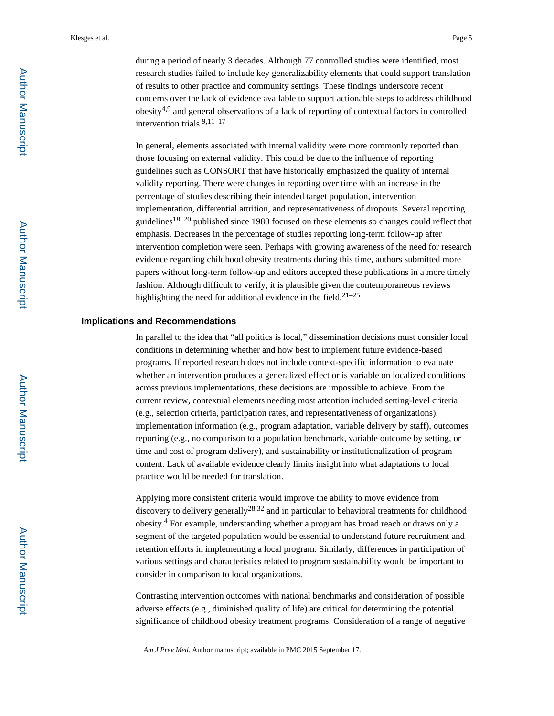during a period of nearly 3 decades. Although 77 controlled studies were identified, most research studies failed to include key generalizability elements that could support translation of results to other practice and community settings. These findings underscore recent concerns over the lack of evidence available to support actionable steps to address childhood obesity<sup>4,9</sup> and general observations of a lack of reporting of contextual factors in controlled intervention trials.9,11–17

In general, elements associated with internal validity were more commonly reported than those focusing on external validity. This could be due to the influence of reporting guidelines such as CONSORT that have historically emphasized the quality of internal validity reporting. There were changes in reporting over time with an increase in the percentage of studies describing their intended target population, intervention implementation, differential attrition, and representativeness of dropouts. Several reporting guidelines<sup>18–20</sup> published since 1980 focused on these elements so changes could reflect that emphasis. Decreases in the percentage of studies reporting long-term follow-up after intervention completion were seen. Perhaps with growing awareness of the need for research evidence regarding childhood obesity treatments during this time, authors submitted more papers without long-term follow-up and editors accepted these publications in a more timely fashion. Although difficult to verify, it is plausible given the contemporaneous reviews highlighting the need for additional evidence in the field.<sup>21-25</sup>

#### **Implications and Recommendations**

In parallel to the idea that "all politics is local," dissemination decisions must consider local conditions in determining whether and how best to implement future evidence-based programs. If reported research does not include context-specific information to evaluate whether an intervention produces a generalized effect or is variable on localized conditions across previous implementations, these decisions are impossible to achieve. From the current review, contextual elements needing most attention included setting-level criteria (e.g., selection criteria, participation rates, and representativeness of organizations), implementation information (e.g., program adaptation, variable delivery by staff), outcomes reporting (e.g., no comparison to a population benchmark, variable outcome by setting, or time and cost of program delivery), and sustainability or institutionalization of program content. Lack of available evidence clearly limits insight into what adaptations to local practice would be needed for translation.

Applying more consistent criteria would improve the ability to move evidence from discovery to delivery generally<sup>28,32</sup> and in particular to behavioral treatments for childhood obesity.<sup>4</sup> For example, understanding whether a program has broad reach or draws only a segment of the targeted population would be essential to understand future recruitment and retention efforts in implementing a local program. Similarly, differences in participation of various settings and characteristics related to program sustainability would be important to consider in comparison to local organizations.

Contrasting intervention outcomes with national benchmarks and consideration of possible adverse effects (e.g., diminished quality of life) are critical for determining the potential significance of childhood obesity treatment programs. Consideration of a range of negative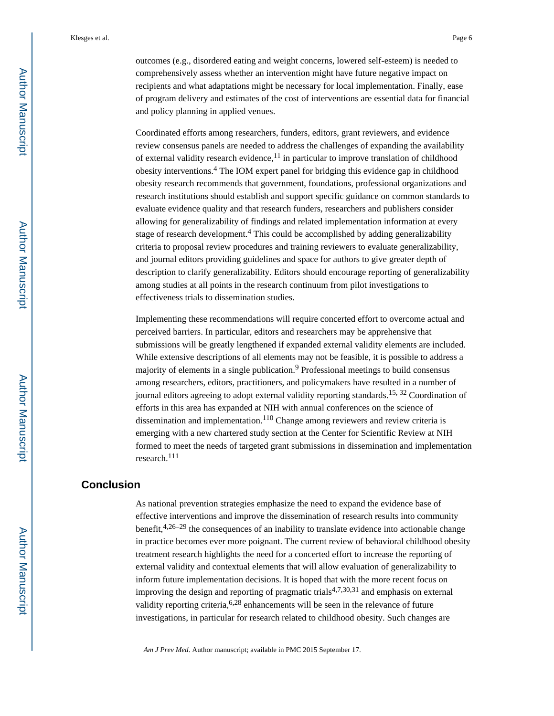outcomes (e.g., disordered eating and weight concerns, lowered self-esteem) is needed to comprehensively assess whether an intervention might have future negative impact on recipients and what adaptations might be necessary for local implementation. Finally, ease of program delivery and estimates of the cost of interventions are essential data for financial and policy planning in applied venues.

Coordinated efforts among researchers, funders, editors, grant reviewers, and evidence review consensus panels are needed to address the challenges of expanding the availability of external validity research evidence, $11$  in particular to improve translation of childhood obesity interventions.<sup>4</sup> The IOM expert panel for bridging this evidence gap in childhood obesity research recommends that government, foundations, professional organizations and research institutions should establish and support specific guidance on common standards to evaluate evidence quality and that research funders, researchers and publishers consider allowing for generalizability of findings and related implementation information at every stage of research development.<sup>4</sup> This could be accomplished by adding generalizability criteria to proposal review procedures and training reviewers to evaluate generalizability, and journal editors providing guidelines and space for authors to give greater depth of description to clarify generalizability. Editors should encourage reporting of generalizability among studies at all points in the research continuum from pilot investigations to effectiveness trials to dissemination studies.

Implementing these recommendations will require concerted effort to overcome actual and perceived barriers. In particular, editors and researchers may be apprehensive that submissions will be greatly lengthened if expanded external validity elements are included. While extensive descriptions of all elements may not be feasible, it is possible to address a majority of elements in a single publication.<sup>9</sup> Professional meetings to build consensus among researchers, editors, practitioners, and policymakers have resulted in a number of journal editors agreeing to adopt external validity reporting standards.15, 32 Coordination of efforts in this area has expanded at NIH with annual conferences on the science of dissemination and implementation.<sup>110</sup> Change among reviewers and review criteria is emerging with a new chartered study section at the Center for Scientific Review at NIH formed to meet the needs of targeted grant submissions in dissemination and implementation research.<sup>111</sup>

#### **Conclusion**

As national prevention strategies emphasize the need to expand the evidence base of effective interventions and improve the dissemination of research results into community benefit,  $4,26-29$  the consequences of an inability to translate evidence into actionable change in practice becomes ever more poignant. The current review of behavioral childhood obesity treatment research highlights the need for a concerted effort to increase the reporting of external validity and contextual elements that will allow evaluation of generalizability to inform future implementation decisions. It is hoped that with the more recent focus on improving the design and reporting of pragmatic trials<sup>4,7,30,31</sup> and emphasis on external validity reporting criteria,  $6,28$  enhancements will be seen in the relevance of future investigations, in particular for research related to childhood obesity. Such changes are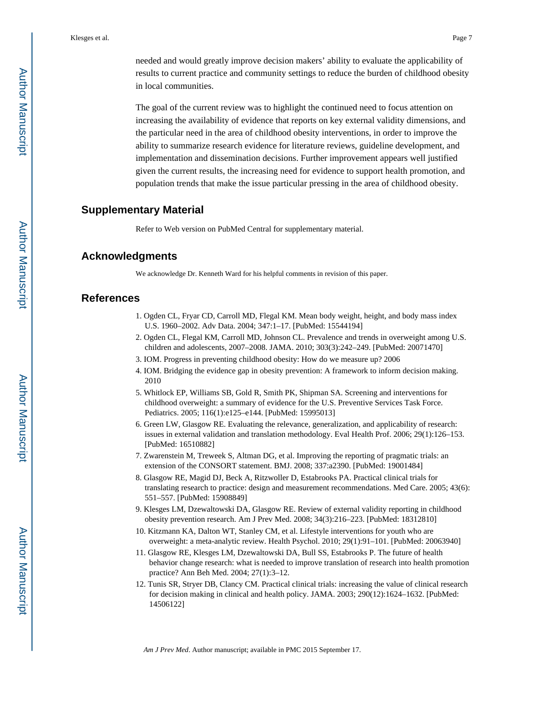needed and would greatly improve decision makers' ability to evaluate the applicability of results to current practice and community settings to reduce the burden of childhood obesity in local communities.

The goal of the current review was to highlight the continued need to focus attention on increasing the availability of evidence that reports on key external validity dimensions, and the particular need in the area of childhood obesity interventions, in order to improve the ability to summarize research evidence for literature reviews, guideline development, and implementation and dissemination decisions. Further improvement appears well justified given the current results, the increasing need for evidence to support health promotion, and population trends that make the issue particular pressing in the area of childhood obesity.

#### **Supplementary Material**

Refer to Web version on PubMed Central for supplementary material.

#### **Acknowledgments**

We acknowledge Dr. Kenneth Ward for his helpful comments in revision of this paper.

#### **References**

- 1. Ogden CL, Fryar CD, Carroll MD, Flegal KM. Mean body weight, height, and body mass index U.S. 1960–2002. Adv Data. 2004; 347:1–17. [PubMed: 15544194]
- 2. Ogden CL, Flegal KM, Carroll MD, Johnson CL. Prevalence and trends in overweight among U.S. children and adolescents, 2007–2008. JAMA. 2010; 303(3):242–249. [PubMed: 20071470]
- 3. IOM. Progress in preventing childhood obesity: How do we measure up? 2006
- 4. IOM. Bridging the evidence gap in obesity prevention: A framework to inform decision making. 2010
- 5. Whitlock EP, Williams SB, Gold R, Smith PK, Shipman SA. Screening and interventions for childhood overweight: a summary of evidence for the U.S. Preventive Services Task Force. Pediatrics. 2005; 116(1):e125–e144. [PubMed: 15995013]
- 6. Green LW, Glasgow RE. Evaluating the relevance, generalization, and applicability of research: issues in external validation and translation methodology. Eval Health Prof. 2006; 29(1):126–153. [PubMed: 16510882]
- 7. Zwarenstein M, Treweek S, Altman DG, et al. Improving the reporting of pragmatic trials: an extension of the CONSORT statement. BMJ. 2008; 337:a2390. [PubMed: 19001484]
- 8. Glasgow RE, Magid DJ, Beck A, Ritzwoller D, Estabrooks PA. Practical clinical trials for translating research to practice: design and measurement recommendations. Med Care. 2005; 43(6): 551–557. [PubMed: 15908849]
- 9. Klesges LM, Dzewaltowski DA, Glasgow RE. Review of external validity reporting in childhood obesity prevention research. Am J Prev Med. 2008; 34(3):216–223. [PubMed: 18312810]
- 10. Kitzmann KA, Dalton WT, Stanley CM, et al. Lifestyle interventions for youth who are overweight: a meta-analytic review. Health Psychol. 2010; 29(1):91–101. [PubMed: 20063940]
- 11. Glasgow RE, Klesges LM, Dzewaltowski DA, Bull SS, Estabrooks P. The future of health behavior change research: what is needed to improve translation of research into health promotion practice? Ann Beh Med. 2004; 27(1):3–12.
- 12. Tunis SR, Stryer DB, Clancy CM. Practical clinical trials: increasing the value of clinical research for decision making in clinical and health policy. JAMA. 2003; 290(12):1624–1632. [PubMed: 14506122]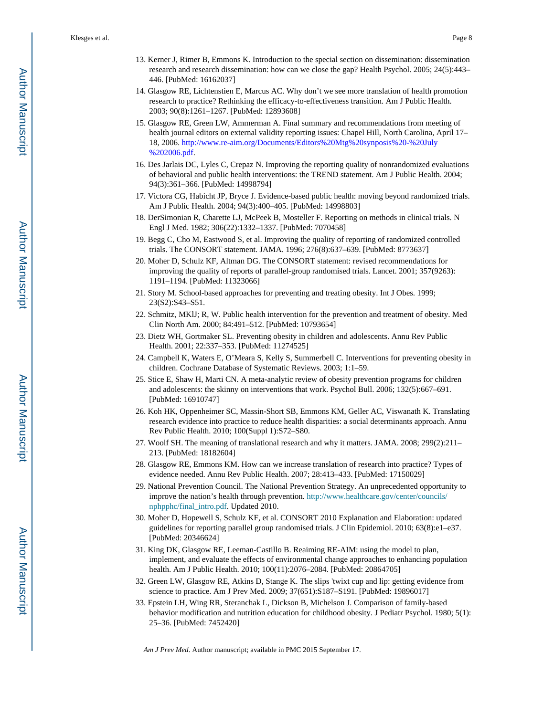- 13. Kerner J, Rimer B, Emmons K. Introduction to the special section on dissemination: dissemination research and research dissemination: how can we close the gap? Health Psychol. 2005; 24(5):443– 446. [PubMed: 16162037]
- 14. Glasgow RE, Lichtenstien E, Marcus AC. Why don't we see more translation of health promotion research to practice? Rethinking the efficacy-to-effectiveness transition. Am J Public Health. 2003; 90(8):1261–1267. [PubMed: 12893608]
- 15. Glasgow RE, Green LW, Ammerman A. Final summary and recommendations from meeting of health journal editors on external validity reporting issues: Chapel Hill, North Carolina, April 17– 18, 2006. [http://www.re-aim.org/Documents/Editors%20Mtg%20synposis%20-%20July](http://www.re-aim.org/Documents/Editors%20Mtg%20synposis%20-%20July%202006.pdf) [%202006.pdf.](http://www.re-aim.org/Documents/Editors%20Mtg%20synposis%20-%20July%202006.pdf)
- 16. Des Jarlais DC, Lyles C, Crepaz N. Improving the reporting quality of nonrandomized evaluations of behavioral and public health interventions: the TREND statement. Am J Public Health. 2004; 94(3):361–366. [PubMed: 14998794]
- 17. Victora CG, Habicht JP, Bryce J. Evidence-based public health: moving beyond randomized trials. Am J Public Health. 2004; 94(3):400–405. [PubMed: 14998803]
- 18. DerSimonian R, Charette LJ, McPeek B, Mosteller F. Reporting on methods in clinical trials. N Engl J Med. 1982; 306(22):1332–1337. [PubMed: 7070458]
- 19. Begg C, Cho M, Eastwood S, et al. Improving the quality of reporting of randomized controlled trials. The CONSORT statement. JAMA. 1996; 276(8):637–639. [PubMed: 8773637]
- 20. Moher D, Schulz KF, Altman DG. The CONSORT statement: revised recommendations for improving the quality of reports of parallel-group randomised trials. Lancet. 2001; 357(9263): 1191–1194. [PubMed: 11323066]
- 21. Story M. School-based approaches for preventing and treating obesity. Int J Obes. 1999; 23(S2):S43–S51.
- 22. Schmitz, MKlJ; R, W. Public health intervention for the prevention and treatment of obesity. Med Clin North Am. 2000; 84:491–512. [PubMed: 10793654]
- 23. Dietz WH, Gortmaker SL. Preventing obesity in children and adolescents. Annu Rev Public Health. 2001; 22:337–353. [PubMed: 11274525]
- 24. Campbell K, Waters E, O'Meara S, Kelly S, Summerbell C. Interventions for preventing obesity in children. Cochrane Database of Systematic Reviews. 2003; 1:1–59.
- 25. Stice E, Shaw H, Marti CN. A meta-analytic review of obesity prevention programs for children and adolescents: the skinny on interventions that work. Psychol Bull. 2006; 132(5):667–691. [PubMed: 16910747]
- 26. Koh HK, Oppenheimer SC, Massin-Short SB, Emmons KM, Geller AC, Viswanath K. Translating research evidence into practice to reduce health disparities: a social determinants approach. Annu Rev Public Health. 2010; 100(Suppl 1):S72–S80.
- 27. Woolf SH. The meaning of translational research and why it matters. JAMA. 2008; 299(2):211– 213. [PubMed: 18182604]
- 28. Glasgow RE, Emmons KM. How can we increase translation of research into practice? Types of evidence needed. Annu Rev Public Health. 2007; 28:413–433. [PubMed: 17150029]
- 29. National Prevention Council. The National Prevention Strategy. An unprecedented opportunity to improve the nation's health through prevention. [http://www.healthcare.gov/center/councils/](http://www.healthcare.gov/center/councils/nphpphc/final_intro.pdf) [nphpphc/final\\_intro.pdf.](http://www.healthcare.gov/center/councils/nphpphc/final_intro.pdf) Updated 2010.
- 30. Moher D, Hopewell S, Schulz KF, et al. CONSORT 2010 Explanation and Elaboration: updated guidelines for reporting parallel group randomised trials. J Clin Epidemiol. 2010; 63(8):e1–e37. [PubMed: 20346624]
- 31. King DK, Glasgow RE, Leeman-Castillo B. Reaiming RE-AIM: using the model to plan, implement, and evaluate the effects of environmental change approaches to enhancing population health. Am J Public Health. 2010; 100(11):2076–2084. [PubMed: 20864705]
- 32. Green LW, Glasgow RE, Atkins D, Stange K. The slips 'twixt cup and lip: getting evidence from science to practice. Am J Prev Med. 2009; 37(651):S187–S191. [PubMed: 19896017]
- 33. Epstein LH, Wing RR, Steranchak L, Dickson B, Michelson J. Comparison of family-based behavior modification and nutrition education for childhood obesity. J Pediatr Psychol. 1980; 5(1): 25–36. [PubMed: 7452420]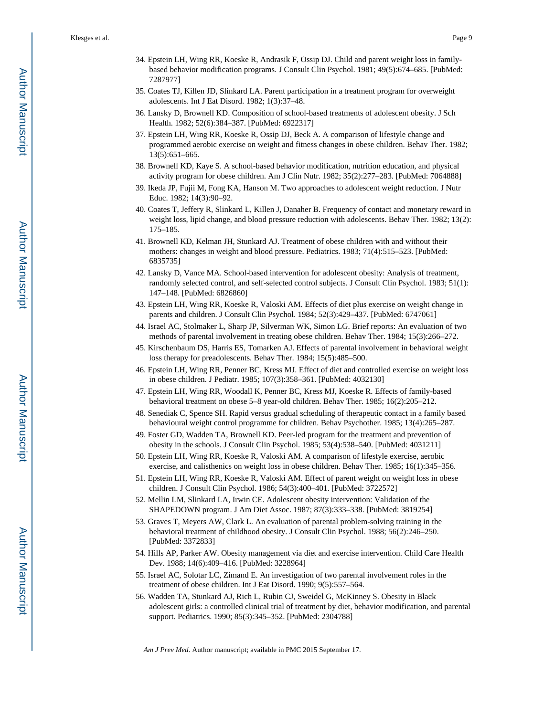- 34. Epstein LH, Wing RR, Koeske R, Andrasik F, Ossip DJ. Child and parent weight loss in familybased behavior modification programs. J Consult Clin Psychol. 1981; 49(5):674–685. [PubMed: 7287977]
- 35. Coates TJ, Killen JD, Slinkard LA. Parent participation in a treatment program for overweight adolescents. Int J Eat Disord. 1982; 1(3):37–48.
- 36. Lansky D, Brownell KD. Composition of school-based treatments of adolescent obesity. J Sch Health. 1982; 52(6):384–387. [PubMed: 6922317]
- 37. Epstein LH, Wing RR, Koeske R, Ossip DJ, Beck A. A comparison of lifestyle change and programmed aerobic exercise on weight and fitness changes in obese children. Behav Ther. 1982; 13(5):651–665.
- 38. Brownell KD, Kaye S. A school-based behavior modification, nutrition education, and physical activity program for obese children. Am J Clin Nutr. 1982; 35(2):277–283. [PubMed: 7064888]
- 39. Ikeda JP, Fujii M, Fong KA, Hanson M. Two approaches to adolescent weight reduction. J Nutr Educ. 1982; 14(3):90–92.
- 40. Coates T, Jeffery R, Slinkard L, Killen J, Danaher B. Frequency of contact and monetary reward in weight loss, lipid change, and blood pressure reduction with adolescents. Behav Ther. 1982; 13(2): 175–185.
- 41. Brownell KD, Kelman JH, Stunkard AJ. Treatment of obese children with and without their mothers: changes in weight and blood pressure. Pediatrics. 1983; 71(4):515–523. [PubMed: 6835735]
- 42. Lansky D, Vance MA. School-based intervention for adolescent obesity: Analysis of treatment, randomly selected control, and self-selected control subjects. J Consult Clin Psychol. 1983; 51(1): 147–148. [PubMed: 6826860]
- 43. Epstein LH, Wing RR, Koeske R, Valoski AM. Effects of diet plus exercise on weight change in parents and children. J Consult Clin Psychol. 1984; 52(3):429–437. [PubMed: 6747061]
- 44. Israel AC, Stolmaker L, Sharp JP, Silverman WK, Simon LG. Brief reports: An evaluation of two methods of parental involvement in treating obese children. Behav Ther. 1984; 15(3):266–272.
- 45. Kirschenbaum DS, Harris ES, Tomarken AJ. Effects of parental involvement in behavioral weight loss therapy for preadolescents. Behav Ther. 1984; 15(5):485–500.
- 46. Epstein LH, Wing RR, Penner BC, Kress MJ. Effect of diet and controlled exercise on weight loss in obese children. J Pediatr. 1985; 107(3):358–361. [PubMed: 4032130]
- 47. Epstein LH, Wing RR, Woodall K, Penner BC, Kress MJ, Koeske R. Effects of family-based behavioral treatment on obese 5–8 year-old children. Behav Ther. 1985; 16(2):205–212.
- 48. Senediak C, Spence SH. Rapid versus gradual scheduling of therapeutic contact in a family based behavioural weight control programme for children. Behav Psychother. 1985; 13(4):265–287.
- 49. Foster GD, Wadden TA, Brownell KD. Peer-led program for the treatment and prevention of obesity in the schools. J Consult Clin Psychol. 1985; 53(4):538–540. [PubMed: 4031211]
- 50. Epstein LH, Wing RR, Koeske R, Valoski AM. A comparison of lifestyle exercise, aerobic exercise, and calisthenics on weight loss in obese children. Behav Ther. 1985; 16(1):345–356.
- 51. Epstein LH, Wing RR, Koeske R, Valoski AM. Effect of parent weight on weight loss in obese children. J Consult Clin Psychol. 1986; 54(3):400–401. [PubMed: 3722572]
- 52. Mellin LM, Slinkard LA, Irwin CE. Adolescent obesity intervention: Validation of the SHAPEDOWN program. J Am Diet Assoc. 1987; 87(3):333–338. [PubMed: 3819254]
- 53. Graves T, Meyers AW, Clark L. An evaluation of parental problem-solving training in the behavioral treatment of childhood obesity. J Consult Clin Psychol. 1988; 56(2):246–250. [PubMed: 3372833]
- 54. Hills AP, Parker AW. Obesity management via diet and exercise intervention. Child Care Health Dev. 1988; 14(6):409–416. [PubMed: 3228964]
- 55. Israel AC, Solotar LC, Zimand E. An investigation of two parental involvement roles in the treatment of obese children. Int J Eat Disord. 1990; 9(5):557–564.
- 56. Wadden TA, Stunkard AJ, Rich L, Rubin CJ, Sweidel G, McKinney S. Obesity in Black adolescent girls: a controlled clinical trial of treatment by diet, behavior modification, and parental support. Pediatrics. 1990; 85(3):345–352. [PubMed: 2304788]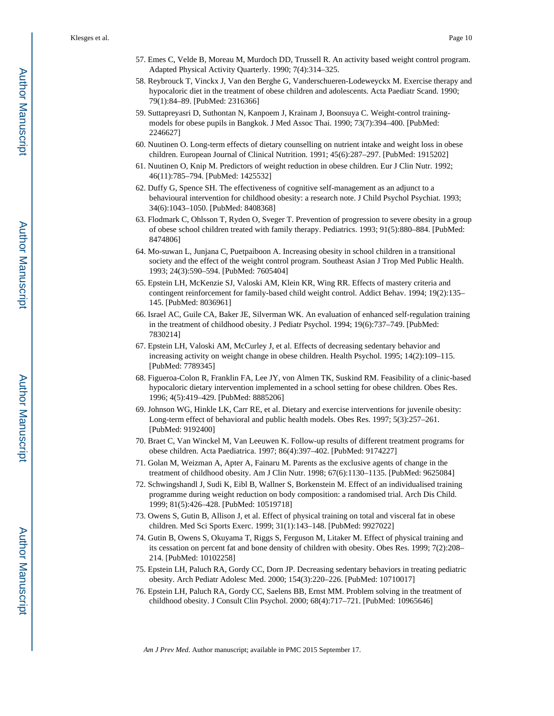- 57. Emes C, Velde B, Moreau M, Murdoch DD, Trussell R. An activity based weight control program. Adapted Physical Activity Quarterly. 1990; 7(4):314–325.
- 58. Reybrouck T, Vinckx J, Van den Berghe G, Vanderschueren-Lodeweyckx M. Exercise therapy and hypocaloric diet in the treatment of obese children and adolescents. Acta Paediatr Scand. 1990; 79(1):84–89. [PubMed: 2316366]
- 59. Suttapreyasri D, Suthontan N, Kanpoem J, Krainam J, Boonsuya C. Weight-control trainingmodels for obese pupils in Bangkok. J Med Assoc Thai. 1990; 73(7):394–400. [PubMed: 2246627]
- 60. Nuutinen O. Long-term effects of dietary counselling on nutrient intake and weight loss in obese children. European Journal of Clinical Nutrition. 1991; 45(6):287–297. [PubMed: 1915202]
- 61. Nuutinen O, Knip M. Predictors of weight reduction in obese children. Eur J Clin Nutr. 1992; 46(11):785–794. [PubMed: 1425532]
- 62. Duffy G, Spence SH. The effectiveness of cognitive self-management as an adjunct to a behavioural intervention for childhood obesity: a research note. J Child Psychol Psychiat. 1993; 34(6):1043–1050. [PubMed: 8408368]
- 63. Flodmark C, Ohlsson T, Ryden O, Sveger T. Prevention of progression to severe obesity in a group of obese school children treated with family therapy. Pediatrics. 1993; 91(5):880–884. [PubMed: 8474806]
- 64. Mo-suwan L, Junjana C, Puetpaiboon A. Increasing obesity in school children in a transitional society and the effect of the weight control program. Southeast Asian J Trop Med Public Health. 1993; 24(3):590–594. [PubMed: 7605404]
- 65. Epstein LH, McKenzie SJ, Valoski AM, Klein KR, Wing RR. Effects of mastery criteria and contingent reinforcement for family-based child weight control. Addict Behav. 1994; 19(2):135– 145. [PubMed: 8036961]
- 66. Israel AC, Guile CA, Baker JE, Silverman WK. An evaluation of enhanced self-regulation training in the treatment of childhood obesity. J Pediatr Psychol. 1994; 19(6):737–749. [PubMed: 7830214]
- 67. Epstein LH, Valoski AM, McCurley J, et al. Effects of decreasing sedentary behavior and increasing activity on weight change in obese children. Health Psychol. 1995; 14(2):109–115. [PubMed: 7789345]
- 68. Figueroa-Colon R, Franklin FA, Lee JY, von Almen TK, Suskind RM. Feasibility of a clinic-based hypocaloric dietary intervention implemented in a school setting for obese children. Obes Res. 1996; 4(5):419–429. [PubMed: 8885206]
- 69. Johnson WG, Hinkle LK, Carr RE, et al. Dietary and exercise interventions for juvenile obesity: Long-term effect of behavioral and public health models. Obes Res. 1997; 5(3):257–261. [PubMed: 9192400]
- 70. Braet C, Van Winckel M, Van Leeuwen K. Follow-up results of different treatment programs for obese children. Acta Paediatrica. 1997; 86(4):397–402. [PubMed: 9174227]
- 71. Golan M, Weizman A, Apter A, Fainaru M. Parents as the exclusive agents of change in the treatment of childhood obesity. Am J Clin Nutr. 1998; 67(6):1130–1135. [PubMed: 9625084]
- 72. Schwingshandl J, Sudi K, Eibl B, Wallner S, Borkenstein M. Effect of an individualised training programme during weight reduction on body composition: a randomised trial. Arch Dis Child. 1999; 81(5):426–428. [PubMed: 10519718]
- 73. Owens S, Gutin B, Allison J, et al. Effect of physical training on total and visceral fat in obese children. Med Sci Sports Exerc. 1999; 31(1):143–148. [PubMed: 9927022]
- 74. Gutin B, Owens S, Okuyama T, Riggs S, Ferguson M, Litaker M. Effect of physical training and its cessation on percent fat and bone density of children with obesity. Obes Res. 1999; 7(2):208– 214. [PubMed: 10102258]
- 75. Epstein LH, Paluch RA, Gordy CC, Dorn JP. Decreasing sedentary behaviors in treating pediatric obesity. Arch Pediatr Adolesc Med. 2000; 154(3):220–226. [PubMed: 10710017]
- 76. Epstein LH, Paluch RA, Gordy CC, Saelens BB, Ernst MM. Problem solving in the treatment of childhood obesity. J Consult Clin Psychol. 2000; 68(4):717–721. [PubMed: 10965646]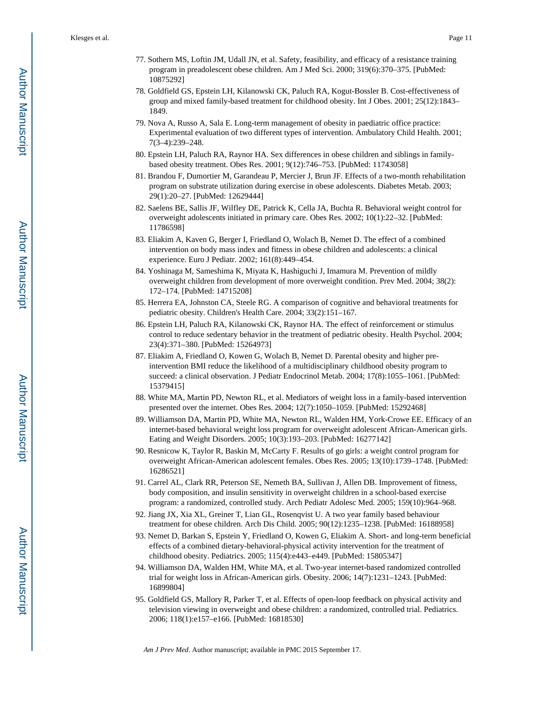- 77. Sothern MS, Loftin JM, Udall JN, et al. Safety, feasibility, and efficacy of a resistance training program in preadolescent obese children. Am J Med Sci. 2000; 319(6):370–375. [PubMed: 10875292]
- 78. Goldfield GS, Epstein LH, Kilanowski CK, Paluch RA, Kogut-Bossler B. Cost-effectiveness of group and mixed family-based treatment for childhood obesity. Int J Obes. 2001; 25(12):1843– 1849.
- 79. Nova A, Russo A, Sala E. Long-term management of obesity in paediatric office practice: Experimental evaluation of two different types of intervention. Ambulatory Child Health. 2001; 7(3–4):239–248.
- 80. Epstein LH, Paluch RA, Raynor HA. Sex differences in obese children and siblings in familybased obesity treatment. Obes Res. 2001; 9(12):746–753. [PubMed: 11743058]
- 81. Brandou F, Dumortier M, Garandeau P, Mercier J, Brun JF. Effects of a two-month rehabilitation program on substrate utilization during exercise in obese adolescents. Diabetes Metab. 2003; 29(1):20–27. [PubMed: 12629444]
- 82. Saelens BE, Sallis JF, Wilfley DE, Patrick K, Cella JA, Buchta R. Behavioral weight control for overweight adolescents initiated in primary care. Obes Res. 2002; 10(1):22–32. [PubMed: 11786598]
- 83. Eliakim A, Kaven G, Berger I, Friedland O, Wolach B, Nemet D. The effect of a combined intervention on body mass index and fitness in obese children and adolescents: a clinical experience. Euro J Pediatr. 2002; 161(8):449–454.
- 84. Yoshinaga M, Sameshima K, Miyata K, Hashiguchi J, Imamura M. Prevention of mildly overweight children from development of more overweight condition. Prev Med. 2004; 38(2): 172–174. [PubMed: 14715208]
- 85. Herrera EA, Johnston CA, Steele RG. A comparison of cognitive and behavioral treatments for pediatric obesity. Children's Health Care. 2004; 33(2):151–167.
- 86. Epstein LH, Paluch RA, Kilanowski CK, Raynor HA. The effect of reinforcement or stimulus control to reduce sedentary behavior in the treatment of pediatric obesity. Health Psychol. 2004; 23(4):371–380. [PubMed: 15264973]
- 87. Eliakim A, Friedland O, Kowen G, Wolach B, Nemet D. Parental obesity and higher preintervention BMI reduce the likelihood of a multidisciplinary childhood obesity program to succeed: a clinical observation. J Pediatr Endocrinol Metab. 2004; 17(8):1055–1061. [PubMed: 15379415]
- 88. White MA, Martin PD, Newton RL, et al. Mediators of weight loss in a family-based intervention presented over the internet. Obes Res. 2004; 12(7):1050–1059. [PubMed: 15292468]
- 89. Williamson DA, Martin PD, White MA, Newton RL, Walden HM, York-Crowe EE. Efficacy of an internet-based behavioral weight loss program for overweight adolescent African-American girls. Eating and Weight Disorders. 2005; 10(3):193–203. [PubMed: 16277142]
- 90. Resnicow K, Taylor R, Baskin M, McCarty F. Results of go girls: a weight control program for overweight African-American adolescent females. Obes Res. 2005; 13(10):1739–1748. [PubMed: 16286521]
- 91. Carrel AL, Clark RR, Peterson SE, Nemeth BA, Sullivan J, Allen DB. Improvement of fitness, body composition, and insulin sensitivity in overweight children in a school-based exercise program: a randomized, controlled study. Arch Pediatr Adolesc Med. 2005; 159(10):964–968.
- 92. Jiang JX, Xia XL, Greiner T, Lian GL, Rosenqvist U. A two year family based behaviour treatment for obese children. Arch Dis Child. 2005; 90(12):1235–1238. [PubMed: 16188958]
- 93. Nemet D, Barkan S, Epstein Y, Friedland O, Kowen G, Eliakim A. Short- and long-term beneficial effects of a combined dietary-behavioral-physical activity intervention for the treatment of childhood obesity. Pediatrics. 2005; 115(4):e443–e449. [PubMed: 15805347]
- 94. Williamson DA, Walden HM, White MA, et al. Two-year internet-based randomized controlled trial for weight loss in African-American girls. Obesity. 2006; 14(7):1231–1243. [PubMed: 16899804]
- 95. Goldfield GS, Mallory R, Parker T, et al. Effects of open-loop feedback on physical activity and television viewing in overweight and obese children: a randomized, controlled trial. Pediatrics. 2006; 118(1):e157–e166. [PubMed: 16818530]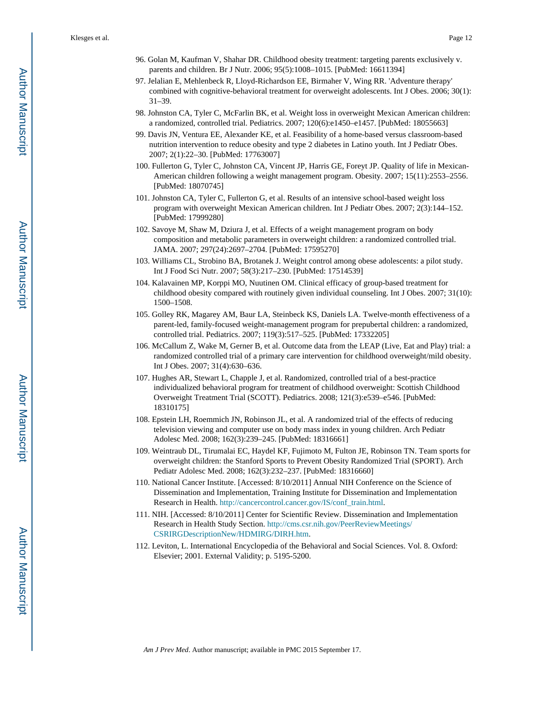- 96. Golan M, Kaufman V, Shahar DR. Childhood obesity treatment: targeting parents exclusively v. parents and children. Br J Nutr. 2006; 95(5):1008–1015. [PubMed: 16611394]
- 97. Jelalian E, Mehlenbeck R, Lloyd-Richardson EE, Birmaher V, Wing RR. 'Adventure therapy' combined with cognitive-behavioral treatment for overweight adolescents. Int J Obes. 2006; 30(1): 31–39.
- 98. Johnston CA, Tyler C, McFarlin BK, et al. Weight loss in overweight Mexican American children: a randomized, controlled trial. Pediatrics. 2007; 120(6):e1450–e1457. [PubMed: 18055663]
- 99. Davis JN, Ventura EE, Alexander KE, et al. Feasibility of a home-based versus classroom-based nutrition intervention to reduce obesity and type 2 diabetes in Latino youth. Int J Pediatr Obes. 2007; 2(1):22–30. [PubMed: 17763007]
- 100. Fullerton G, Tyler C, Johnston CA, Vincent JP, Harris GE, Foreyt JP. Quality of life in Mexican-American children following a weight management program. Obesity. 2007; 15(11):2553–2556. [PubMed: 18070745]
- 101. Johnston CA, Tyler C, Fullerton G, et al. Results of an intensive school-based weight loss program with overweight Mexican American children. Int J Pediatr Obes. 2007; 2(3):144–152. [PubMed: 17999280]
- 102. Savoye M, Shaw M, Dziura J, et al. Effects of a weight management program on body composition and metabolic parameters in overweight children: a randomized controlled trial. JAMA. 2007; 297(24):2697–2704. [PubMed: 17595270]
- 103. Williams CL, Strobino BA, Brotanek J. Weight control among obese adolescents: a pilot study. Int J Food Sci Nutr. 2007; 58(3):217–230. [PubMed: 17514539]
- 104. Kalavainen MP, Korppi MO, Nuutinen OM. Clinical efficacy of group-based treatment for childhood obesity compared with routinely given individual counseling. Int J Obes. 2007; 31(10): 1500–1508.
- 105. Golley RK, Magarey AM, Baur LA, Steinbeck KS, Daniels LA. Twelve-month effectiveness of a parent-led, family-focused weight-management program for prepubertal children: a randomized, controlled trial. Pediatrics. 2007; 119(3):517–525. [PubMed: 17332205]
- 106. McCallum Z, Wake M, Gerner B, et al. Outcome data from the LEAP (Live, Eat and Play) trial: a randomized controlled trial of a primary care intervention for childhood overweight/mild obesity. Int J Obes. 2007; 31(4):630–636.
- 107. Hughes AR, Stewart L, Chapple J, et al. Randomized, controlled trial of a best-practice individualized behavioral program for treatment of childhood overweight: Scottish Childhood Overweight Treatment Trial (SCOTT). Pediatrics. 2008; 121(3):e539–e546. [PubMed: 18310175]
- 108. Epstein LH, Roemmich JN, Robinson JL, et al. A randomized trial of the effects of reducing television viewing and computer use on body mass index in young children. Arch Pediatr Adolesc Med. 2008; 162(3):239–245. [PubMed: 18316661]
- 109. Weintraub DL, Tirumalai EC, Haydel KF, Fujimoto M, Fulton JE, Robinson TN. Team sports for overweight children: the Stanford Sports to Prevent Obesity Randomized Trial (SPORT). Arch Pediatr Adolesc Med. 2008; 162(3):232–237. [PubMed: 18316660]
- 110. National Cancer Institute. [Accessed: 8/10/2011] Annual NIH Conference on the Science of Dissemination and Implementation, Training Institute for Dissemination and Implementation Research in Health. [http://cancercontrol.cancer.gov/IS/conf\\_train.html.](http://cancercontrol.cancer.gov/IS/conf_train.html)
- 111. NIH. [Accessed: 8/10/2011] Center for Scientific Review. Dissemination and Implementation Research in Health Study Section. [http://cms.csr.nih.gov/PeerReviewMeetings/](http://cms.csr.nih.gov/PeerReviewMeetings/CSRIRGDescriptionNew/HDMIRG/DIRH.htm) [CSRIRGDescriptionNew/HDMIRG/DIRH.htm](http://cms.csr.nih.gov/PeerReviewMeetings/CSRIRGDescriptionNew/HDMIRG/DIRH.htm).
- 112. Leviton, L. International Encyclopedia of the Behavioral and Social Sciences. Vol. 8. Oxford: Elsevier; 2001. External Validity; p. 5195-5200.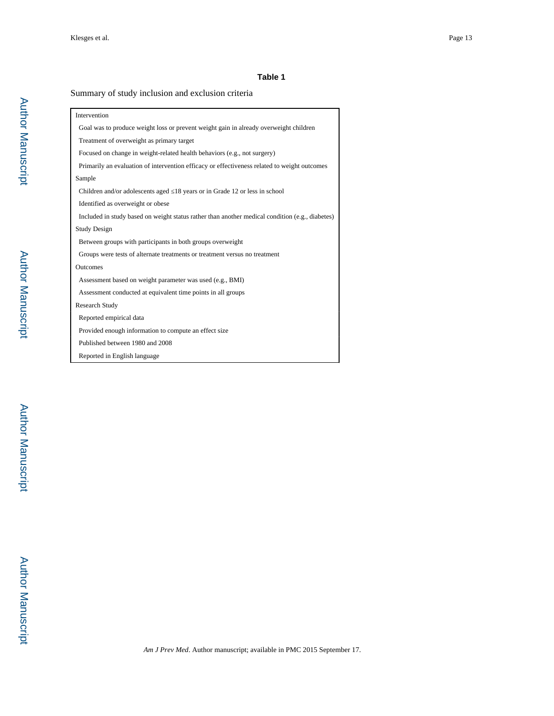#### **Table 1**

#### Summary of study inclusion and exclusion criteria

| Intervention                                                                                    |  |  |  |  |  |
|-------------------------------------------------------------------------------------------------|--|--|--|--|--|
| Goal was to produce weight loss or prevent weight gain in already overweight children           |  |  |  |  |  |
| Treatment of overweight as primary target                                                       |  |  |  |  |  |
| Focused on change in weight-related health behaviors (e.g., not surgery)                        |  |  |  |  |  |
| Primarily an evaluation of intervention efficacy or effectiveness related to weight outcomes    |  |  |  |  |  |
| Sample                                                                                          |  |  |  |  |  |
| Children and/or adolescents aged 18 years or in Grade 12 or less in school                      |  |  |  |  |  |
| Identified as overweight or obese                                                               |  |  |  |  |  |
| Included in study based on weight status rather than another medical condition (e.g., diabetes) |  |  |  |  |  |
| <b>Study Design</b>                                                                             |  |  |  |  |  |
| Between groups with participants in both groups overweight                                      |  |  |  |  |  |
| Groups were tests of alternate treatments or treatment versus no treatment                      |  |  |  |  |  |
| Outcomes                                                                                        |  |  |  |  |  |
| Assessment based on weight parameter was used (e.g., BMI)                                       |  |  |  |  |  |
| Assessment conducted at equivalent time points in all groups                                    |  |  |  |  |  |
| <b>Research Study</b>                                                                           |  |  |  |  |  |
| Reported empirical data                                                                         |  |  |  |  |  |
| Provided enough information to compute an effect size                                           |  |  |  |  |  |
| Published between 1980 and 2008                                                                 |  |  |  |  |  |
| Reported in English language                                                                    |  |  |  |  |  |